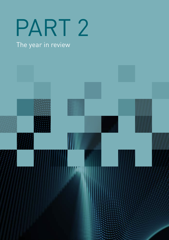# PART 2

# The year in review

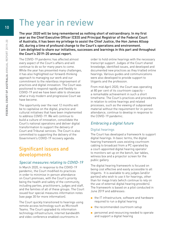# The year in review

The year 2020 will be long remembered as nothing short of extraordinary. In my first year as the Chief Executive Officer (CEO) and Principal Registrar of the Federal Court of Australia, it has been my privilege to assist the Chief Justice, the Hon James Allsop AO, during a time of profound change to the Court's operations and environment. I am delighted to share our initiatives, successes and learnings in this part and throughout the Court's 2019–20 annual report.

The COVID-19 pandemic has affected almost every aspect of the Court's affairs and will continue to do so for many years to come. While the year has presented many challenges, it has also highlighted our forward-thinking approach to managing our work and our commitment to the relentless improvement of practices and digital innovation. The Court was positioned to respond rapidly and flexibly to COVID-19 and we have been able to showcase what a truly modern and progressive Court we have become.

The opportunity over the next 12 months will be to capitalise on the digital, practice and cultural initiatives that have been implemented to address COVID-19. We will continue to build a culture of innovation, consolidate the Court's national operations and deliver digital transformation to support the delivery of Court and Tribunal services. The Court is also committed to supporting the delivery of the Government's COVID-19 recovery agenda.

# Significant issues and developments

#### Special measures relating to COVID-19

In March 2020, in response to the COVID-19 pandemic, the Court modified its practices in order to minimise in-person attendance on Court premises, with the Court's priority being the health and safety of the community, including parties, practitioners, judges and staff, and the families of all of these groups. The Court issued four special measures information notes (see page 30 for more information).

The Court quickly transitioned to hearings using remote access technology such as Microsoft Teams. The Court upgraded its information technology infrastructure, internet bandwidth and video conference enabled courtrooms in

order to hold online hearings with the necessary transcript support. Judges of the Court shared knowledge, identified issues, and developed and documented new practices as they trialled online hearings. Various guides and communications were also developed to provide support to litigants and the profession.

From mid-April 2020, the Court was operating at 80 per cent of its courtroom capacity – a remarkable achievement in such a short timeframe. The Court's practices and procedures in relation to online hearings and related processes, such as the viewing of subpoenaed material without the requirement for in-person attendance, continue to develop in response to the COVID-19 pandemic.

#### Embracing a digital future

#### Digital hearings

The Court has developed a framework to support digital hearings. In basic terms, the digital hearing framework uses existing courtroom cabling to broadcast from a PC operated by a court-appointed digital hearing operator to monitors set up on the bench, bar tables, witness box and a projector screen for the public gallery.

The digital hearing framework is focused on being cost effective and easily accessible to all litigants. It is available to any judges (and/or parties) who wish to use it for hearings, other than for mega trials (which continue to rely on the use of external digital hearing providers). The framework is based on a pilot conducted in June 2019 and addresses:

- the IT infrastructure, software and hardware required to run a digital hearing
- the recommended courtroom setup
- personnel and resourcing needed to operate and support a digital hearing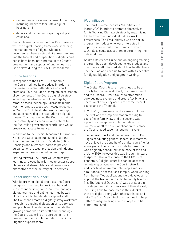- recommended case management practices, including orders to facilitate a digital hearing, and
- details and format for preparing a digital court book.

Certain learnings from the Court's experience with the digital hearing framework, including the management of digital evidence, document exchange using digital mechanisms and the format and preparation of digital court books have been instrumental in the Court's development and support of online hearings (see below) during the COVID-19 pandemic.

#### Online hearings

In response to the COVID-19 pandemic, the Court modified its practices in order to minimise in-person attendance on court premises. This included a complete acceleration of components of the Court's digital strategy including the introduction of hearings by remote access technology. Microsoft Teams was the remote access technology rolled out in March 2020 to facilitate remote hearings and alternative dispute resolution by digital means. This has allowed the Court to maintain the continuity of its services and adhere to the Australian government restrictions whilst preserving access to justice.

In addition to the Special Measures Information Notes, the Court also published a National Practitioners and Litigants Guide to Online Hearings and Microsoft Teams to provide guidance for the legal profession and litigantsin-person appearing in online hearings.

Moving forward, the Court will capture key learnings, refocus its priorities to better support litigants and stakeholders and reinvigorate alternatives for the delivery of its services.

#### Digital litigation support

With its growing digital practices, the Court recognises the need to provide enhanced support and training for in-court technology, digital hearings and online hearings by way of dedicated digital litigation support staff. The Court has created a digitally savvy workforce through its ongoing digitisation of its services and practices. In order to accommodate the growing demands on its staff and technology, the Court is exploring an approach for the development and implementation of a digital litigation support team.

#### iPad initiative

The Court commenced its iPad Initiative in March 2020 in order to promote alternatives for its Working Digitally strategy by maximising flexibility to meet individual judges' work preferences. The iPad Initiative was an opt-in program for judges who were interested in opportunities to trial other means by which technology could assist them in performing their judicial duties.

An iPad Reference Guide and an ongoing training program has been developed to keep judges and chambers staff informed about how to effectively use the iPad and keep up to date with its benefits for digital litigation and judgment writing.

#### Digital Court Program

The Digital Court Program continues to be a priority for the Federal Court, the Family Court and the Federal Circuit Court, to streamline core business systems and create flexibility and operational efficiency across the three federal courts and the Tribunal.

In 2019–20, there were two key areas of focus. The first was the implementation of a digital court file in family law and the second was a proof of concept for implementation of a commercial off the shelf application to replace the Courts' aged case management system.

The Federal Court and the Federal Circuit Court judges conducting general federal law matters, have enjoyed the benefits of a digital court file for some years. The digital court file for family law was originally scheduled for release at the end of June 2020, however this was brought forward to April 2020 as a response to the COVID-19 pandemic. A digital court file can be accessed remotely by anyone on the Court network and is critical where multiple people require simultaneous access, for example, when working from home. Two applications were developed to support the transition to a digital family law court file. The 'Judicial Dashboard' was developed to provide judges with an overview of their docket, including links to those files in their docket that are digital, along with other statistics and data. The 'List Assist' tool was designed to help better manage hearings, with a large number of matters listed.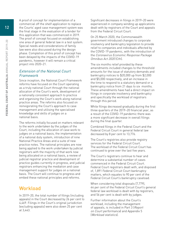A proof of concept for implementation of a commercial off the shelf application to replace the Courts' aged case management system was the final stage in the evaluation of a tender for this application that was commenced in 2019. The proof of concept focused on establishing one area of general federal law in a test system. Special needs and considerations of family law were also discussed during the design phase. Completion of this proof of concept has been delayed by the impacts of the COVID-19 pandemic, however it will remain a critical project into 2020–21.

#### Extension of the National Court Framework

Since inception, the National Court Framework reforms have focused on the Court operating as a truly national Court through the national allocation of the Court's work, development of a nationally consistent approach to practice and organising the Court's work along national practice areas. The reforms also focused on reinvigorating the Court's approach to case management and utilising the specialised knowledge and skills of judges on a national basis.

The reforms initially focused on matters relevant to the work undertaken by the judges of the Court, including the allocation of case work to judges on a national basis, the implementation of a national duty system, introduction of nine National Practice Areas and a suite of new practice notes. The national principles are now being applied to the work undertaken by judicial registrars with the majority of that work now being allocated on a national basis, a review of judicial registrar practice and development of practice guides currently in progress, and judicial registrars enhancing the mediation and case management support for judges on a national basis. The Court will continue to progress and embed these national principles and reforms.

### Workload

In 2019–20, the total number of filings (including appeals) in the Court decreased by 26 per cent to 4,469. Filings in the Court's original jurisdiction (excluding appeals) were also down 25 per cent at 3,443.

Significant decreases in filings in 2019–20 were experienced in company winding up applications dealt with by registrars of the Court and appeals from the Federal Circuit Court.

On 25 March 2020, the Commonwealth government introduced changes to corporate insolvency and bankruptcy legislation to provide relief to companies and individuals affected by the COVID-19 pandemic, with the introduction of the Coronavirus Economic Response Package Omnibus Act 2020 (Cth).

The six months relief provided by these amendments included changes to the threshold amounts for the issue of statutory demands and bankruptcy notices to \$20,000 up from \$2,000 and \$5,000 respectively, and an increase in the time to respond to a statutory demand or a bankruptcy notice from 21 days to six months. These amendments have had a direct impact on filings in corporate insolvency and bankruptcy and specifically the workload of registrars through this period.

While filings decreased gradually during the first three quarters of the 2019–20 financial year, as a result of the COVID-19 pandemic there was a more significant decrease in overall filings during the final quarter.

Combined filings in the Federal Court and the Federal Circuit Court in general federal law decreased by 8 per cent to 13,776.

The Court's registries also provide registry services for the Federal Circuit Court. The workload of the Federal Circuit Court has continued to grow over the last five years.

The Court's registrars continue to hear and determine a substantial number of cases commenced in the Federal Circuit Court. Federal Court registrars dealt with, and disposed of, 1,891 Federal Circuit Court bankruptcy matters, which equates to 90 per cent of the Federal Circuit Court's bankruptcy caseload.

When considering total disposals (7,779), 44 per cent of the Federal Circuit Court's general federal law workload is dealt with by registrars, and 56 per cent is dealt with by judges.

Further information about the Court's workload, including the management of appeals, is included in Part 3 (Report on Court performance) and Appendix 5 (Workload statistics).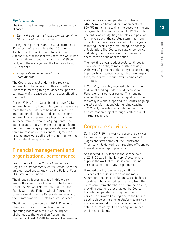#### Performance

The Court has two targets for timely completion of cases:

■ Eighty-five per cent of cases completed within 18 months of commencement

During the reporting year, the Court completed 93 per cent of cases in less than 18 months. As shown in Figure A5.5 and Table A5.5 in Appendix 5, over the last five years, the Court has consistently exceeded its benchmark of 85 per cent, with the average over the five years being 93.1 per cent.

■ Judgments to be delivered within three months

The Court has a goal of delivering reserved judgments within a period of three months. Success in meeting this goal depends upon the complexity of the case and other issues affecting the Court.

During 2019–20, the Court handed down 2,313 judgments for 2,158 court files (some files involve more than one judgment being delivered – e.g. interlocutory decisions – and sometimes one judgment will cover multiple files). This is an increase from last year of 46 judgments. The data indicates that 77 per cent of appeals (both Full Court and single judge) were delivered within three months and 79 per cent of judgments at first instance were delivered within three months of the date of being reserved.

## Financial management and organisational performance

From 1 July 2016, the Courts Administration Legislation Amendment Act 2016 established the amalgamated entity, known as the Federal Court of Australia (the entity).

The financial figures outlined in this report are for the consolidated results of the Federal Court, the National Native Title Tribunal, the Family Court, the Federal Circuit Court, the Commonwealth Courts Corporate Services and the Commonwealth Courts Registry Services.

The financial statements for 2019–20 include changes to the accounting treatment of operating leases as a result of the impact of changes to the Australian Accounting Standards Board (AASB) 16 Leases. The financial statements show an operating surplus of \$15.327 million before depreciation costs of \$29.955 million and taking into account principal repayments of lease liabilities of \$17.082 million. The entity was budgeting a break-even position for the year, with the surplus stemming from projects that have been delayed to future years following uncertainty surrounding the passage of legislation. The Courts operate under strict budgetary controls ensuring that the entity operates within the appropriation.

The next three-year budget cycle continues to challenge the entity to make further savings. With over 60 per cent of the entity's costs relating to property and judicial costs, which are largely fixed, the ability to reduce overarching costs is limited.

In 2017–18, the entity received \$14 million in additional funding under the Modernisation Fund over a three-year period. This funding enabled the entity to deliver a digital court file for family law and supported the Courts' ongoing digital transformation. With funding ceasing in 2020–21, the entity will continue the digital transformation project through reallocation of internal resources.

## Corporate services

During 2019–20, the work of corporate services focused on supporting the evolving needs of judges and staff across all the Courts and Tribunal, while delivering on required efficiencies to meet reduced appropriations.

As expected, a key focus in the second half of 2019–20 was in the delivery of solutions to support the work of the Courts and Tribunal in response to the COVID-19 pandemic.

IT moved quickly to effectively shift the business of the Courts to an online model. A number of technical solutions were deployed providing options for judges to attend from the courtroom, from chambers or from their home, providing solutions that enabled the Courts to continue operating during the lockdown period. This involved an upgrade to the Courts' existing video conferencing platform to provide assurance around its capacity to continue to deliver the majority of its hearings online for the foreseeable future.